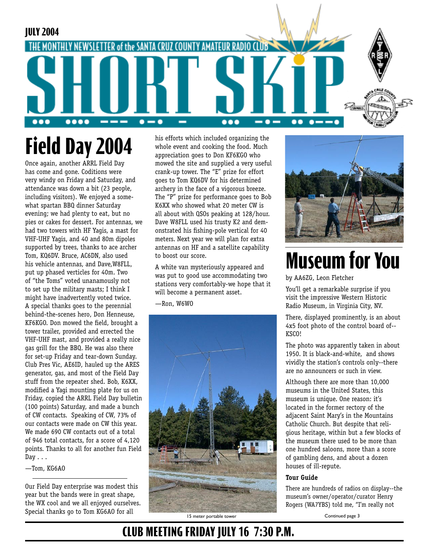

# **Field Day 2004**

Once again, another ARRL Field Day has come and gone. Coditions were very windy on Friday and Saturday, and attendance was down a bit (23 people, including visitors). We enjoyed a somewhat spartan BBQ dinner Saturday evening; we had plenty to eat, but no pies or cakes for dessert. For antennas, we had two towers with HF Yagis, a mast for VHF-UHF Yagis, and 40 and 80m dipoles supported by trees, thanks to ace archer Tom, KQ6DV. Bruce, AC6DN, also used his vehicle antennas, and Dave,W8FLL, put up phased verticles for 40m. Two of "the Toms" voted unanamously not to set up the military masts; I think I might have inadvertently voted twice. A special thanks goes to the perennial behind-the-scenes hero, Don Henneuse, KF6KGO. Don mowed the field, brought a tower trailer, provided and errected the VHF-UHF mast, and provided a really nice gas grill for the BBQ. He was also there for set-up Friday and tear-down Sunday. Club Pres Vic, AE6ID, hauled up the ARES generator, gas, and most of the Field Day stuff from the repeater shed. Bob, K6XX, modified a Yagi mounting plate for us on Friday, copied the ARRL Field Day bulletin (100 points) Saturday, and made a bunch of CW contacts. Speaking of CW, 73% of our contacts were made on CW this year. We made 690 CW contacts out of a total of 946 total contacts, for a score of 4,120 points. Thanks to all for another fun Field  $Day \ldots$ 

—Tom, KG6AO

Our Field Day enterprise was modest this year but the bands were in great shape, the WX cool and we all enjoyed ourselves. Special thanks go to Tom KG6AO for all

his efforts which included organizing the whole event and cooking the food. Much appreciation goes to Don KF6KGO who mowed the site and supplied a very useful crank-up tower. The "E" prize for effort goes to Tom KQ6DV for his determined archery in the face of a vigorous breeze. The "P" prize for performance goes to Bob K6XX who showed what 20 meter CW is all about with QSOs peaking at 128/hour. Dave W8FLL used his trusty K2 and demonstrated his fishing-pole vertical for 40 meters. Next year we will plan for extra antennas on HF and a satellite capability to boost our score.

A white van mysteriously appeared and was put to good use accommodating two stations very comfortably-we hope that it will become a permanent asset.

—Ron, W6WO



# **Museum for You**

by AA6ZG, Leon Fletcher

You'll get a remarkable surprise if you visit the impressive Western Historic Radio Museum, in Virginia City, NV.

There, displayed prominently, is an about 4x5 foot photo of the control board of-- KSCO!

The photo was apparently taken in about 1950. It is black-and-white, and shows vividly the station's controls only--there are no announcers or such in view.

Although there are more than 10,000 museums in the United States, this museum is unique. One reason: it's located in the former rectory of the adjacent Saint Mary's in the Mountains Catholic Church. But despite that religious heritage, within but a few blocks of the museum there used to be more than one hundred saloons, more than a score of gambling dens, and about a dozen houses of ill-repute.

#### **Tour Guide**

There are hundreds of radios on display--the museum's owner/operator/curator Henry Rogers (WA7YBS) told me, "I'm really not

15 meter portable tower Continued page 3

### **CLUB MEETING FRIDAY JULY 16 7:30 P.M.**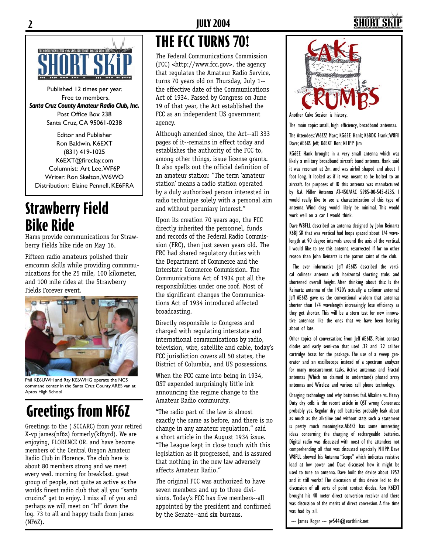## **2 JULY 2004 3**



Published 12 times per year. Free to members. *Santa Cruz County Amateur Radio Club, Inc.* Post Office Box 238 Santa Cruz, CA 95061-0238

Editor and Publisher Ron Baldwin, K6EXT (831) 419-1025 K6EXT@fireclay.com Columnist: Art Lee, WF6P Writer: Ron Skelton, W6WO Distribution: Elaine Pennell, KE6FRA

### **Strawberry Field Bike Ride**

Hams provide communications for Strawberry Fields bike ride on May 16.

Fifteen radio amateurs polished their emcomm skills while providing commmunications for the 25 mile, 100 kilometer, and 100 mile rides at the Strawberry Fields Forever event.



Phil KE6UWH and Ray KE6WHG operate the NCS command center in the Santa Cruz County ARES van at Aptos High School

# **Greetings from NF6Z**

Greetings to the ( SCCARC) from your retired X-vp james(nf6z) formerly(kf6yrd). We are enjoying, FLORENCE OR. and have become members of the Central Oregon Amateur Radio Club in Florence. The club here is about 80 members strong and we meet every wed. morning for breakfast. great group of people, not quite as active as the worlds finest radio club that all you "santa cruzins" get to enjoy. I miss all of you and perhaps we will meet on "hf" down the log. 73 to all and happy trails from james (NF6Z).

# **THE FCC TURNS 70!**

The Federal Communications Commission (FCC) <http://www.fcc.gov>, the agency that regulates the Amateur Radio Service, turns 70 years old on Thursday, July 1- the effective date of the Communications Act of 1934. Passed by Congress on June 19 of that year, the Act established the FCC as an independent US government agency.

Although amended since, the Act--all 333 pages of it--remains in effect today and establishes the authority of the FCC to, among other things, issue license grants. It also spells out the official definition of an amateur station: "The term 'amateur station' means a radio station operated by a duly authorized person interested in radio technique solely with a personal aim and without pecuniary interest."

Upon its creation 70 years ago, the FCC directly inherited the personnel, funds and records of the Federal Radio Commission (FRC), then just seven years old. The FRC had shared regulatory duties with the Department of Commerce and the Interstate Commerce Commission. The Communications Act of 1934 put all the responsibilities under one roof. Most of the significant changes the Communications Act of 1934 introduced affected broadcasting.

Directly responsible to Congress and charged with regulating interstate and international communications by radio, television, wire, satellite and cable, today's FCC jurisdiction covers all 50 states, the District of Columbia, and US possessions.

When the FCC came into being in 1934, QST expended surprisingly little ink announcing the regime change to the Amateur Radio community.

"The radio part of the law is almost exactly the same as before, and there is no change in any amateur regulation," said a short article in the August 1934 issue. "The League kept in close touch with this legislation as it progressed, and is assured that nothing in the new law adversely affects Amateur Radio."

The original FCC was authorized to have seven members and up to three divisions. Today's FCC has five members--all appointed by the president and confirmed by the Senate--and six bureaus.



Another Cake Session is history.

The main topic: small, high efficiency, broadband antennas. The Attendees: W6ZZZ Marc; KG6EE Hank; K6BDK Frank; W8Fll Dave; AE6KS Jeff; K6EXT Ron; N1IPP Jim

KG6EE Hank brought in a very small antenna which was likely a military broadband aircraft band antenna. Hank said it was resonant at 2m. and was airfoil shaped and about 1 foot long. It looked as if it was meant to be bolted to an aircraft. For purposes of ID this antenna was manufactured by R.A. Miller Antenna AT-450/ARC 5985-00-545-6235. I would really like to see a characterization of this type of antenna. Wind drag would likely be minimal. This would work well on a car I would think.

Dave W8FLL described an antenna designed by John Reinartz K6BJ SK that was vertical had loops spaced about 1/4 wavelength at 90 degree intervals around the axis of the vertical. I would like to see this antenna resurrected if for no other reason than John Reinartz is the patron saint of the club.

 The ever informative Jeff AE6KS described the vertical colinear antenna with horizontal shorting stubs and shortened overall height. After thinking about this: Is the Reinartz antenna of the 1920's actually a colinear antenna? Jeff AE6KS gave us the conventional wisdom that antennas shorter than 1/4 wavelength increasingly lose efficiency as they get shorter. This will be a stern test for new innovative antennas like the ones that we have been hearing about of late.

Other topics of conversation: From Jeff AE6KS. Point contact diodes and early semi-con that used .32 and .22 caliber cartridge brass for the package. The use of a sweep generator and an oscilloscope instead of a spectrum analyzer for many measurement tasks. Active antennas and Fractal antennas (Which no claimed to understand) phased array antennas and Wireless and various cell phone technology.

Charging technology and why batteries fail. Alkaline vs. Heavy Duty dry cells is the recent article in QST wrong Consensus: probably yes. Regular dry cell batteries probably leak about as much as the alkaline and without stats such a statement is pretty much meaningless.AE6KS has some interesting ideas concerning the charging of rechargeable batteries. Digital radio was discussed with most of the attendees not comprehending all that was discussed especially N1IPP. Dave W8FLL showed his Antenna "Scope" which indicates resistive load at low power and Dave discussed how it might be used to tune an antenna. Dave built the device about 1952 and it still works! The discussion of this device led to the discussion of all sorts of point contact diodes. Ron K6EXT brought his 40 meter direct conversion receiver and there was discussion of the merits of direct conversion. A fine time was had by all.

--- James Koger --- pv544@earthlink.net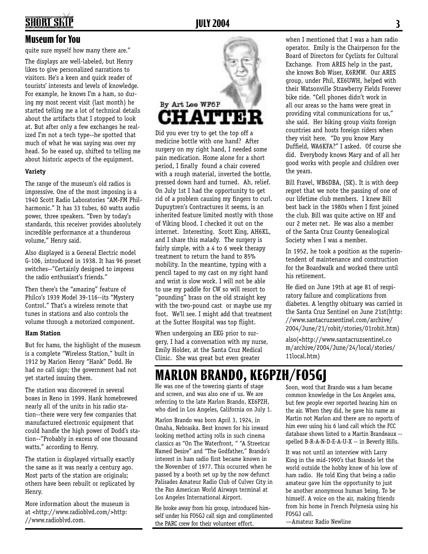# **2 JULY 2004 3**

#### **Museum for You**

quite sure myself how many there are."

The displays are well-labeled, but Henry likes to give personalized narrations to visitors. He's a keen and quick reader of tourists' interests and levels of knowledge. For example, he knows I'm a ham, so during my most recent visit (last month) he started telling me a lot of technical details about the artifacts that I stopped to look at. But after only a few exchanges he realized I'm not a tech type--he spotted that much of what he was saying was over my head. So he eased up, shifted to telling me about historic aspects of the equipment.

#### **Variety**

The range of the museum's old radios is impressive. One of the most imposing is a 1940 Scott Radio Laboratories "AM-FM Philharmonic." It has 33 tubes, 60 watts audio power, three speakers. "Even by today's standards, this receiver provides absolutely incredible performance at a thunderous volume," Henry said.

Also displayed is a General Electric model G-106, introduced in 1938. It has 96 preset switches--"Certainly designed to impress the radio enthusiast's friends."

Then there's the "amazing" feature of Philco's 1939 Model 39-116--its "Mystery Control." That's a wireless remote that tunes in stations and also controls the volume through a motorized component.

#### **Ham Station**

But for hams, the highlight of the museum is a complete "Wireless Station," built in 1912 by Marion Henry "Hank" Dodd. He had no call sign; the government had not yet started issuing them.

The station was discovered in several boxes in Reno in 1999. Hank homebrewed nearly all of the units in his radio station--there were very few companies that manufactured electronic equipment that could handle the high power of Dodd's station--"Probably in excess of one thousand watts," according to Henry.

The station is displayed virtually exactly the same as it was nearly a century ago. Most parts of the station are originals; others have been rebuilt or replicated by Henry.

More information about the museum is at <http://www.radioblvd.com/>http: //www.radioblvd.com.



Did you ever try to get the top off a medicine bottle with one hand? After surgery on my right hand, I needed some pain medication. Home alone for a short period, I finally found a chair covered with a rough material, inverted the bottle, pressed down hard and turned. Ah, relief. On July 1st I had the opportunity to get rid of a problem causing my fingers to curl. Dupuytren's Contractures it seems, is an inherited feature limited mostly with those of Viking blood. I checked it out on the internet. Interesting. Scott King, AH6KL, and I share this malady. The surgery is fairly simple, with a 4 to 6 week therapy treatment to return the hand to 85% mobility. In the meantime, typing with a pencil taped to my cast on my right hand and wrist is slow work. I will not be able to use my paddle for CW so will resort to "pounding" brass on the old straight key with the two-pound cast or maybe use my foot. We'll see. I might add that treatment at the Sutter Hospital was top flight.

When undergoing an EKG prior to surgery, I had a conversation with my nurse, Emily Holder, at the Santa Cruz Medical Clinic. She was great but even greater

when I mentioned that I was a ham radio operator. Emily is the Chairperson for the Board of Directors for Cyclists for Cultural Exchange. From ARES help in the past, she knows Bob Wiser, K6RMW. Our ARES group, under Phil, KE6UWH, helped with their Watsonville Strawberry Fields Forever bike ride. "Cell phones didn't work in all our areas so the hams were great in providing vital communications for us," she said. Her biking group visits foreign countries and hosts foreign riders when they visit here. "Do you know Mary Duffield, WA6KFA?" I asked. Of course she did. Everybody knows Mary and of all her good works with people and children over the years.

Bill Fravel, WB6DBA, (SK). It is with deep regret that we note the passing of one of our lifetime club members. I knew Bill best back in the 1980s when I first joined the club. Bill was quite active on HF and our 2 meter net. He was also a member of the Santa Cruz County Genealogical Society when I was a member.

In 1952, he took a position as the superintendent of maintenance and construction for the Boardwalk and worked there until his retirement.

He died on June 19th at age 81 of respiratory failure and complications from diabetes. A lengthy obituary was carried in the Santa Cruz Sentinel on June 21st(http: //www.santacruzsentinel.com/archive/ 2004/June/21/robit/stories/01robit.htm)

also(<http://www.santacruzsentinel.co m/archive/2004/June/24/local/stories/ 11local.htm)

### **MARLON BRANDO, KE6PZH/FO5GJ**

He was one of the towering giants of stage and screen, and was also one of us. We are referring to the late Marlon Brando, KE6PZH, who died in Los Angeles, California on July 1.

Marlon Brando was born April 3, 1924, in Omaha, Nebraska. Best known for his inward looking method acting rolls in such cinema classics as "On The Waterfront, " "A Streetcar Named Desire" and "The Godfather," Brando's interest in ham radio first became known in the November of 1977. This occurred when he passed by a booth set up by the now defunct Palisades Amateur Radio Club of Culver City in the Pan American World Airways terminal at Los Angeles International Airport.

He broke away from his group, introduced himself under his FO5GJ call sign and complimented the PARC crew for their volunteer effort.

Soon, word that Brando was a ham became common knowledge in the Los Angeles area, but few people ever reported hearing him on the air. When they did, he gave his name as Martin not Marlon and there are no reports of him ever using his 6 land call which the FCC database shows listed to a Martin Brandeaux - spelled B-R-A-N-D-E-A-U-X -- in Beverly Hills.

It was not until an interview with Larry King in the mid-1990's that Brando let the world outside the hobby know of his love of ham radio. He told King that being a radio amateur gave him the opportunity to just be another anonymous human being. To be himself. A voice on the air, making friends from his home in French Polynesia using his FO5GJ call.

—Amateur Radio Newline